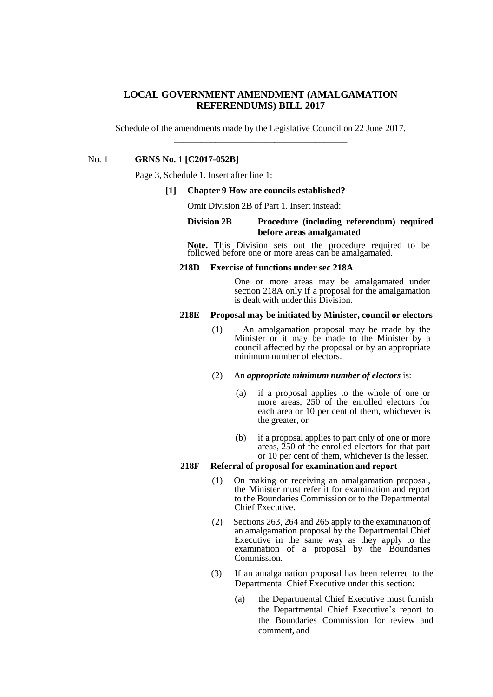# **LOCAL GOVERNMENT AMENDMENT (AMALGAMATION REFERENDUMS) BILL 2017**

Schedule of the amendments made by the Legislative Council on 22 June 2017. \_\_\_\_\_\_\_\_\_\_\_\_\_\_\_\_\_\_\_\_\_\_\_\_\_\_\_\_\_\_\_\_\_\_\_\_\_\_

#### No. 1 **GRNS No. 1 [C2017-052B]**

Page 3, Schedule 1. Insert after line 1:

## **[1] Chapter 9 How are councils established?**

Omit Division 2B of Part 1. Insert instead:

# **Division 2B Procedure (including referendum) required before areas amalgamated**

**Note.** This Division sets out the procedure required to be followed before one or more areas can be amalgamated.

#### **218D Exercise of functions under sec 218A**

One or more areas may be amalgamated under section 218A only if a proposal for the amalgamation is dealt with under this Division.

#### **218E Proposal may be initiated by Minister, council or electors**

- (1) An amalgamation proposal may be made by the Minister or it may be made to the Minister by a council affected by the proposal or by an appropriate minimum number of electors.
- (2) An *appropriate minimum number of electors* is:
	- (a) if a proposal applies to the whole of one or more areas,  $250$  of the enrolled electors for each area or 10 per cent of them, whichever is the greater, or
	- (b) if a proposal applies to part only of one or more areas, 250 of the enrolled electors for that part or 10 per cent of them, whichever is the lesser.

## **218F Referral of proposal for examination and report**

- (1) On making or receiving an amalgamation proposal, the Minister must refer it for examination and report to the Boundaries Commission or to the Departmental Chief Executive.
- (2) Sections 263, 264 and 265 apply to the examination of an amalgamation proposal by the Departmental Chief Executive in the same way as they apply to the examination of a proposal by the Boundaries Commission.
- (3) If an amalgamation proposal has been referred to the Departmental Chief Executive under this section:
	- (a) the Departmental Chief Executive must furnish the Departmental Chief Executive's report to the Boundaries Commission for review and comment, and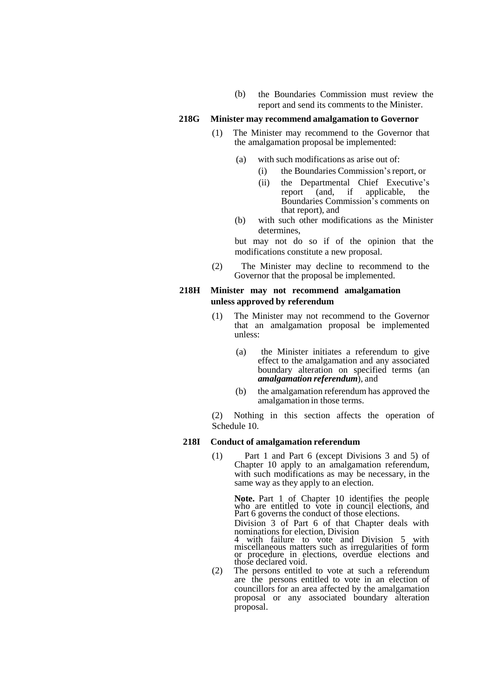(b) the Boundaries Commission must review the report and send its comments to the Minister.

## **218G Minister may recommend amalgamation to Governor**

- (1) The Minister may recommend to the Governor that the amalgamation proposal be implemented:
	- (a) with such modifications as arise out of:
		- (i) the Boundaries Commission'sreport, or
		- (ii) the Departmental Chief Executive's report (and, if applicable, the Boundaries Commission's comments on that report), and
	- (b) with such other modifications as the Minister determines,

but may not do so if of the opinion that the modifications constitute a new proposal.

(2) The Minister may decline to recommend to the Governor that the proposal be implemented.

# **218H Minister may not recommend amalgamation unless approved by referendum**

- (1) The Minister may not recommend to the Governor that an amalgamation proposal be implemented unless:
	- (a) the Minister initiates a referendum to give effect to the amalgamation and any associated boundary alteration on specified terms (an *amalgamation referendum*), and
	- (b) the amalgamation referendum has approved the amalgamation in those terms.

(2) Nothing in this section affects the operation of Schedule 10.

## **218I Conduct of amalgamation referendum**

(1) Part 1 and Part 6 (except Divisions 3 and 5) of Chapter 10 apply to an amalgamation referendum, with such modifications as may be necessary, in the same way as they apply to an election.

> **Note.** Part 1 of Chapter 10 identifies the people who are entitled to vote in council elections, and Part 6 governs the conduct of those elections.

> Division 3 of Part 6 of that Chapter deals with nominations for election, Division

> 4 with failure to vote and Division 5 with miscellaneous matters such as irregularities of form or procedure in elections, overdue elections and those declared void.

(2) The persons entitled to vote at such a referendum are the persons entitled to vote in an election of councillors for an area affected by the amalgamation proposal or any associated boundary alteration proposal.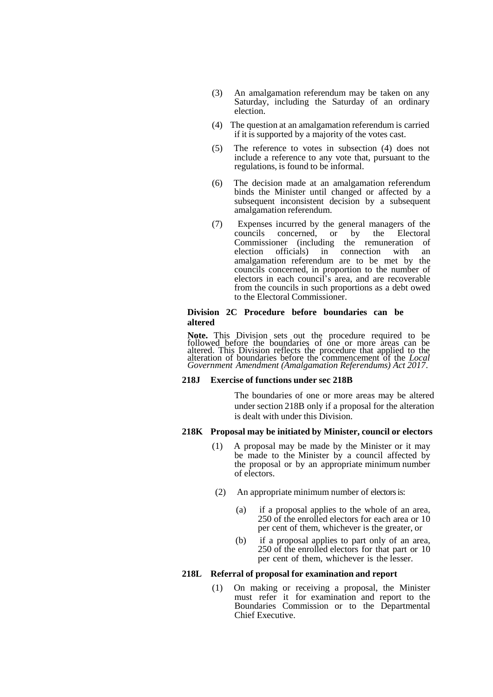- (3) An amalgamation referendum may be taken on any Saturday, including the Saturday of an ordinary election.
- (4) The question at an amalgamation referendum is carried if it is supported by a majority of the votes cast.
- (5) The reference to votes in subsection (4) does not include a reference to any vote that, pursuant to the regulations, is found to be informal.
- (6) The decision made at an amalgamation referendum binds the Minister until changed or affected by a subsequent inconsistent decision by a subsequent amalgamation referendum.
- (7) Expenses incurred by the general managers of the councils concerned, or by the Electoral Commissioner (including the remuneration of election officials) in connection with an in connection with an amalgamation referendum are to be met by the councils concerned, in proportion to the number of electors in each council's area, and are recoverable from the councils in such proportions as a debt owed to the Electoral Commissioner.

## **Division 2C Procedure before boundaries can be altered**

**Note.** This Division sets out the procedure required to be followed before the boundaries of one or more areas can be altered. This Division reflects the procedure that applied to the alteration of boundaries before the commencement of the *Local Government Amendment (Amalgamation Referendums) Act 2017*.

#### **218J Exercise of functions under sec 218B**

The boundaries of one or more areas may be altered under section 218B only if a proposal for the alteration is dealt with under this Division.

#### **218K Proposal may be initiated by Minister, council or electors**

- (1) A proposal may be made by the Minister or it may be made to the Minister by a council affected by the proposal or by an appropriate minimum number of electors.
- (2) An appropriate minimum number of electors is:
	- (a) if a proposal applies to the whole of an area, 250 of the enrolled electors for each area or 10 per cent of them, whichever is the greater, or
	- (b) if a proposal applies to part only of an area, 250 of the enrolled electors for that part or 10 per cent of them, whichever is the lesser.

#### **218L Referral of proposal for examination and report**

(1) On making or receiving a proposal, the Minister must refer it for examination and report to the Boundaries Commission or to the Departmental Chief Executive.